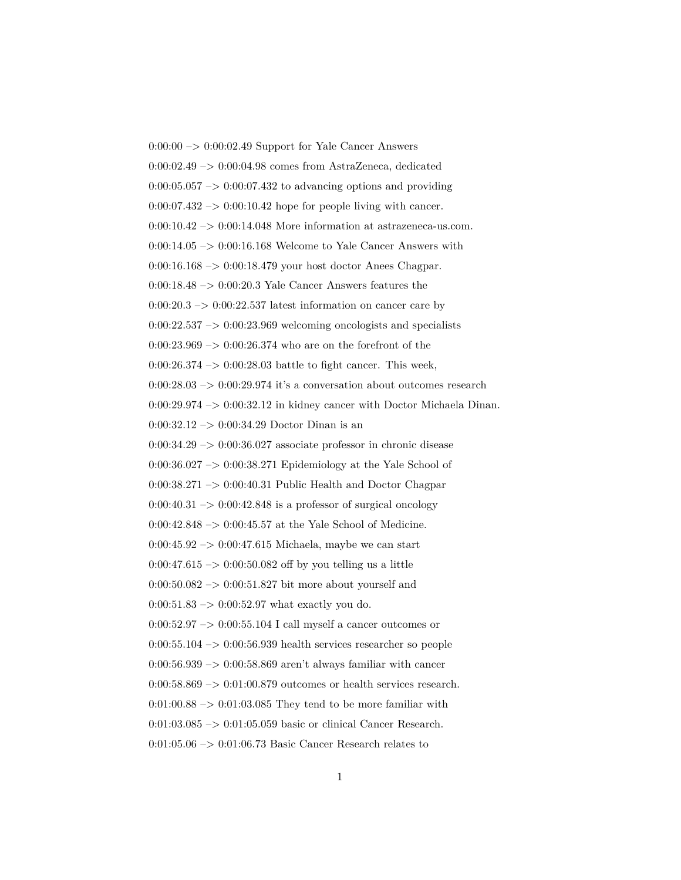$0:00:00 \rightarrow 0:00:02.49$  Support for Yale Cancer Answers 0:00:02.49 –> 0:00:04.98 comes from AstraZeneca, dedicated  $0:00:05.057 \rightarrow 0:00:07.432$  to advancing options and providing  $0:00:07.432 \rightarrow 0:00:10.42$  hope for people living with cancer. 0:00:10.42 –> 0:00:14.048 More information at astrazeneca-us.com.  $0:00:14.05 \rightarrow 0:00:16.168$  Welcome to Yale Cancer Answers with 0:00:16.168 –> 0:00:18.479 your host doctor Anees Chagpar. 0:00:18.48 –> 0:00:20.3 Yale Cancer Answers features the  $0:00:20.3 \rightarrow 0:00:22.537$  latest information on cancer care by  $0:00:22.537 \rightarrow 0:00:23.969$  welcoming oncologists and specialists  $0:00:23.969 \rightarrow 0:00:26.374$  who are on the forefront of the 0:00:26.374  $\rightarrow$  0:00:28.03 battle to fight cancer. This week, 0:00:28.03  $\mathord{\rightarrow}$  0:00:29.974 it's a conversation about outcomes research  $0:00:29.974 \rightarrow 0:00:32.12$  in kidney cancer with Doctor Michaela Dinan.  $0:00:32.12 \rightarrow 0:00:34.29$  Doctor Dinan is an  $0:00:34.29 \rightarrow 0:00:36.027$  associate professor in chronic disease  $0:00:36.027 \rightarrow 0:00:38.271$  Epidemiology at the Yale School of 0:00:38.271 –> 0:00:40.31 Public Health and Doctor Chagpar  $0:00:40.31 \rightarrow 0:00:42.848$  is a professor of surgical oncology 0:00:42.848 –> 0:00:45.57 at the Yale School of Medicine.  $0:00:45.92 \rightarrow 0:00:47.615$  Michaela, maybe we can start 0:00:47.615  $\rightarrow$  0:00:50.082 off by you telling us a little  $0:00:50.082 \rightarrow 0:00:51.827$  bit more about yourself and  $0:00:51.83 \rightarrow 0:00:52.97$  what exactly you do.  $0:00:52.97 \rightarrow 0:00:55.104$  I call myself a cancer outcomes or  $0:00:55.104 \rightarrow 0:00:56.939$  health services researcher so people  $0:00:56.939 \rightarrow 0:00:58.869$  aren't always familiar with cancer  $0:00:58.869 \rightarrow 0:01:00.879$  outcomes or health services research.  $0:01:00.88 \rightarrow 0:01:03.085$  They tend to be more familiar with 0:01:03.085 –> 0:01:05.059 basic or clinical Cancer Research. 0:01:05.06 –> 0:01:06.73 Basic Cancer Research relates to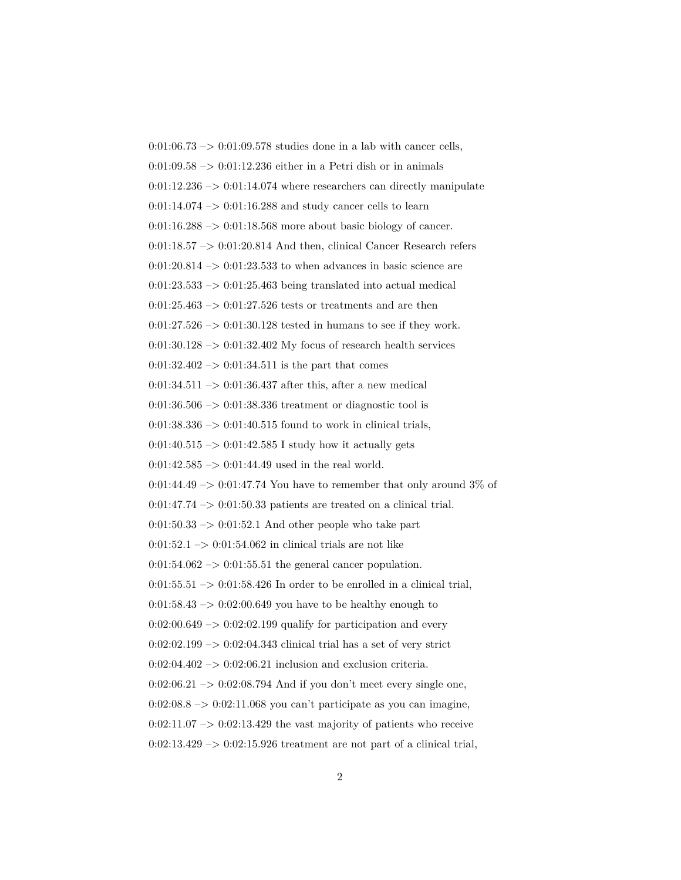$0.01:06.73 \rightarrow 0.01:09.578$  studies done in a lab with cancer cells,  $0:01:09.58 \rightarrow 0:01:12.236$  either in a Petri dish or in animals  $0:01:12.236 \rightarrow 0:01:14.074$  where researchers can directly manipulate  $0:01:14.074 \rightarrow 0:01:16.288$  and study cancer cells to learn  $0:01:16.288 \rightarrow 0:01:18.568$  more about basic biology of cancer.  $0:01:18.57 \rightarrow 0:01:20.814$  And then, clinical Cancer Research refers  $0:01:20.814 \rightarrow 0:01:23.533$  to when advances in basic science are  $0:01:23.533 \rightarrow 0:01:25.463$  being translated into actual medical  $0:01:25.463 \rightarrow 0:01:27.526$  tests or treatments and are then  $0:01:27.526 \rightarrow 0:01:30.128$  tested in humans to see if they work.  $0:01:30.128 \rightarrow 0:01:32.402$  My focus of research health services  $0:01:32.402 \rightarrow 0:01:34.511$  is the part that comes  $0:01:34.511 \rightarrow 0:01:36.437$  after this, after a new medical  $0:01:36.506 \rightarrow 0:01:38.336$  treatment or diagnostic tool is  $0:01:38.336 \rightarrow 0:01:40.515$  found to work in clinical trials,  $0:01:40.515 \rightarrow 0:01:42.585$  I study how it actually gets  $0:01:42.585 \rightarrow 0:01:44.49$  used in the real world.  $0:01:44.49 \rightarrow 0:01:47.74$  You have to remember that only around 3\% of  $0:01:47.74 \rightarrow 0:01:50.33$  patients are treated on a clinical trial.  $0:01:50.33 \rightarrow 0:01:52.1$  And other people who take part 0:01:52.1 –> 0:01:54.062 in clinical trials are not like  $0:01:54.062 \rightarrow 0:01:55.51$  the general cancer population.  $0:01:55.51 \rightarrow 0:01:58.426$  In order to be enrolled in a clinical trial,  $0:01:58.43 \rightarrow 0:02:00.649$  you have to be healthy enough to  $0:02:00.649 \rightarrow 0:02:02.199$  qualify for participation and every  $0:02:02.199 \rightarrow 0:02:04.343$  clinical trial has a set of very strict  $0:02:04.402 \rightarrow 0:02:06.21$  inclusion and exclusion criteria.  $0:02:06.21 \rightarrow 0:02:08.794$  And if you don't meet every single one,  $0:02:08.8 \rightarrow 0:02:11.068$  you can't participate as you can imagine,  $0:02:11.07 \rightarrow 0:02:13.429$  the vast majority of patients who receive  $0:02:13.429 \rightarrow 0:02:15.926$  treatment are not part of a clinical trial,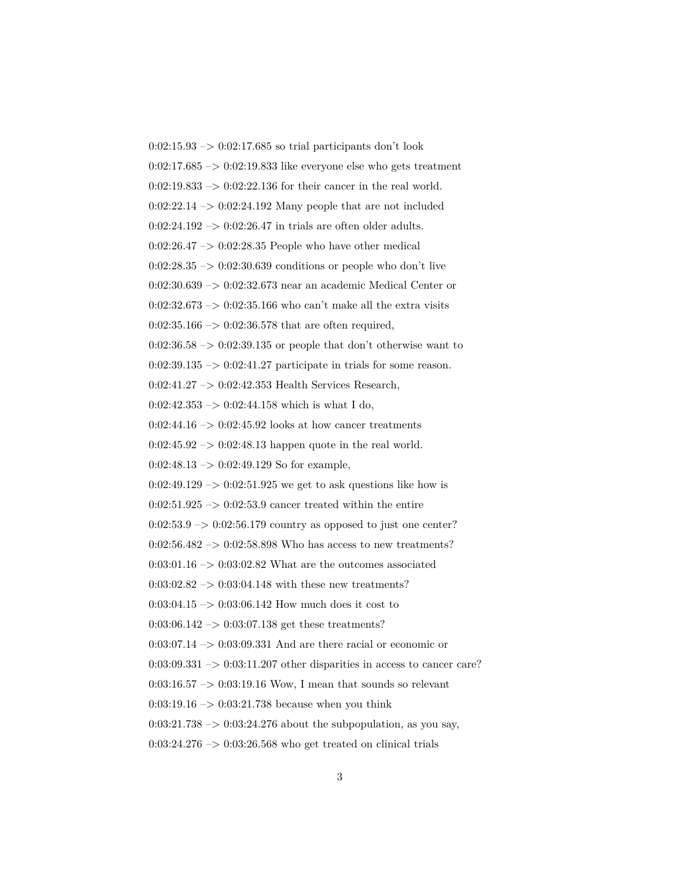$0:02:15.93 \rightarrow 0:02:17.685$  so trial participants don't look  $0.02:17.685 \rightarrow 0.02:19.833$  like everyone else who gets treatment  $0:02:19.833 \rightarrow 0:02:22.136$  for their cancer in the real world.  $0:02:22.14 \rightarrow 0:02:24.192$  Many people that are not included  $0:02:24.192 \rightarrow 0:02:26.47$  in trials are often older adults.  $0:02:26.47 \rightarrow 0:02:28.35$  People who have other medical  $0:02:28.35 \rightarrow 0:02:30.639$  conditions or people who don't live 0:02:30.639 –> 0:02:32.673 near an academic Medical Center or  $0:02:32.673 \rightarrow 0:02:35.166$  who can't make all the extra visits  $0:02:35.166 \rightarrow 0:02:36.578$  that are often required,  $0:02:36.58 \rightarrow 0:02:39.135$  or people that don't otherwise want to  $0:02:39.135 \rightarrow 0:02:41.27$  participate in trials for some reason. 0:02:41.27 -> 0:02:42.353 Health Services Research,  $0:02:42.353 \rightarrow 0:02:44.158$  which is what I do,  $0:02:44.16 \rightarrow 0:02:45.92$  looks at how cancer treatments  $0:02:45.92 \rightarrow 0:02:48.13$  happen quote in the real world.  $0:02:48.13 \rightarrow 0:02:49.129$  So for example,  $0:02:49.129 \rightarrow 0:02:51.925$  we get to ask questions like how is  $0:02:51.925 \rightarrow 0:02:53.9$  cancer treated within the entire  $0:02:53.9 \rightarrow 0:02:56.179$  country as opposed to just one center?  $0:02:56.482 \rightarrow 0:02:58.898$  Who has access to new treatments?  $0:03:01.16 \rightarrow 0:03:02.82$  What are the outcomes associated  $0:03:02.82 \rightarrow 0:03:04.148$  with these new treatments?  $0:03:04.15 \rightarrow 0:03:06.142$  How much does it cost to  $0:03:06.142 \rightarrow 0:03:07.138$  get these treatments? 0:03:07.14 –> 0:03:09.331 And are there racial or economic or  $0:03:09.331 \rightarrow 0:03:11.207$  other disparities in access to cancer care?  $0:03:16.57 \rightarrow 0:03:19.16$  Wow, I mean that sounds so relevant 0:03:19.16  $\rightarrow$  0:03:21.738 because when you think  $0:03:21.738 \rightarrow 0:03:24.276$  about the subpopulation, as you say,  $0:03:24.276 \rightarrow 0:03:26.568$  who get treated on clinical trials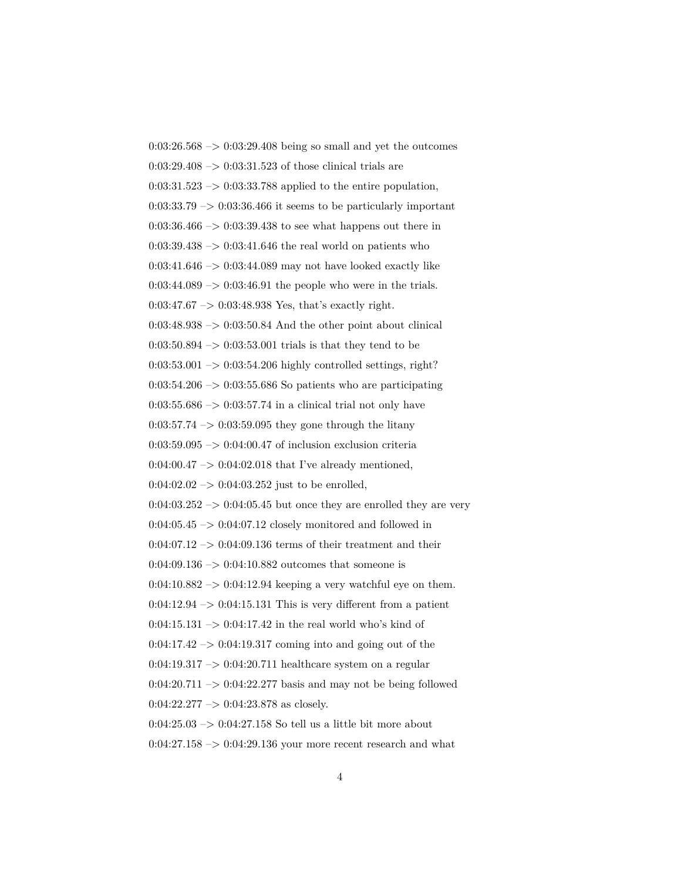$0:03:26.568 \rightarrow 0:03:29.408$  being so small and yet the outcomes  $0:03:29.408 \rightarrow 0:03:31.523$  of those clinical trials are  $0:03:31.523 \rightarrow 0:03:33.788$  applied to the entire population,  $0:03:33.79 \rightarrow 0:03:36.466$  it seems to be particularly important  $0:03:36.466 \rightarrow 0:03:39.438$  to see what happens out there in  $0:03:39.438 \rightarrow 0:03:41.646$  the real world on patients who 0:03:41.646 –> 0:03:44.089 may not have looked exactly like  $0:03:44.089 \rightarrow 0:03:46.91$  the people who were in the trials.  $0:03:47.67 \rightarrow 0:03:48.938$  Yes, that's exactly right.  $0:03:48.938 \rightarrow 0:03:50.84$  And the other point about clinical  $0:03:50.894 \rightarrow 0:03:53.001$  trials is that they tend to be  $0:03:53.001 \rightarrow 0:03:54.206$  highly controlled settings, right?  $0:03:54.206 \rightarrow 0:03:55.686$  So patients who are participating  $0:03:55.686 \rightarrow 0:03:57.74$  in a clinical trial not only have  $0:03:57.74 \rightarrow 0:03:59.095$  they gone through the litany  $0.03:59.095 \rightarrow 0.04:00.47$  of inclusion exclusion criteria  $0:04:00.47 \rightarrow 0:04:02.018$  that I've already mentioned,  $0:04:02.02 \rightarrow 0:04:03.252$  just to be enrolled,  $0.04:03.252 \rightarrow 0.04:05.45$  but once they are enrolled they are very  $0:04:05.45 \rightarrow 0:04:07.12$  closely monitored and followed in  $0:04:07.12 \rightarrow 0:04:09.136$  terms of their treatment and their  $0:04:09.136 \rightarrow 0:04:10.882$  outcomes that someone is  $0:04:10.882 \rightarrow 0:04:12.94$  keeping a very watchful eye on them.  $0:04:12.94 \rightarrow 0:04:15.131$  This is very different from a patient  $0:04:15.131 \rightarrow 0:04:17.42$  in the real world who's kind of  $0:04:17.42 \rightarrow 0:04:19.317$  coming into and going out of the  $0:04:19.317 \rightarrow 0:04:20.711$  healthcare system on a regular  $0:04:20.711 \rightarrow 0:04:22.277$  basis and may not be being followed  $0:04:22.277 \rightarrow 0:04:23.878$  as closely.  $0:04:25.03 \rightarrow 0:04:27.158$  So tell us a little bit more about  $0:04:27.158 \rightarrow 0:04:29.136$  your more recent research and what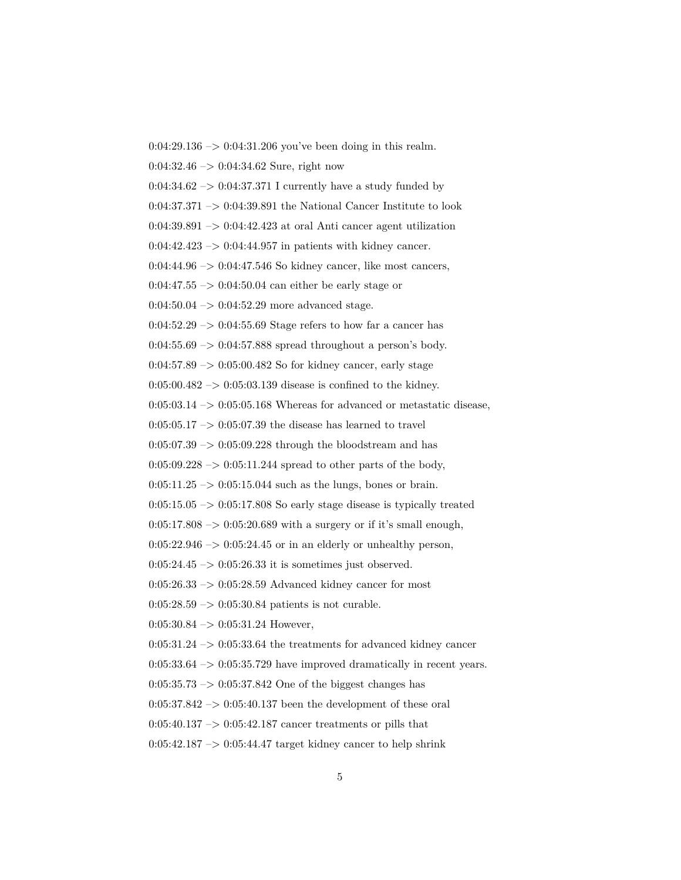$0:04:29.136 \rightarrow 0:04:31.206$  you've been doing in this realm. 0:04:32.46 –> 0:04:34.62 Sure, right now  $0:04:34.62 \rightarrow 0:04:37.371$  I currently have a study funded by  $0:04:37.371 \rightarrow 0:04:39.891$  the National Cancer Institute to look  $0:04:39.891 \rightarrow 0:04:42.423$  at oral Anti cancer agent utilization  $0:04:42.423 \rightarrow 0:04:44.957$  in patients with kidney cancer.  $0:04:44.96 \rightarrow 0:04:47.546$  So kidney cancer, like most cancers,  $0:04:47.55 \rightarrow 0:04:50.04$  can either be early stage or  $0:04:50.04 \rightarrow 0:04:52.29$  more advanced stage.  $0.04:52.29 \rightarrow 0.04:55.69$  Stage refers to how far a cancer has  $0.04:55.69 \rightarrow 0.04:57.888$  spread throughout a person's body. 0:04:57.89 –> 0:05:00.482 So for kidney cancer, early stage  $0:05:00.482 \rightarrow 0:05:03.139$  disease is confined to the kidney.  $0:05:03.14 \rightarrow 0:05:05.168$  Whereas for advanced or metastatic disease,  $0:05:05.17 \rightarrow 0:05:07.39$  the disease has learned to travel  $0:05:07.39 \rightarrow 0:05:09.228$  through the bloodstream and has  $0:05:09.228 \rightarrow 0:05:11.244$  spread to other parts of the body,  $0:05:11.25 \rightarrow 0:05:15.044$  such as the lungs, bones or brain.  $0:05:15.05 \rightarrow 0:05:17.808$  So early stage disease is typically treated  $0:05:17.808 \rightarrow 0:05:20.689$  with a surgery or if it's small enough,  $0:05:22.946 \rightarrow 0:05:24.45$  or in an elderly or unhealthy person,  $0:05:24.45 \rightarrow 0:05:26.33$  it is sometimes just observed.  $0:05:26.33 \rightarrow 0:05:28.59$  Advanced kidney cancer for most  $0:05:28.59 \rightarrow 0:05:30.84$  patients is not curable.  $0:05:30.84 \rightarrow 0:05:31.24$  However,  $0:05:31.24 \rightarrow 0:05:33.64$  the treatments for advanced kidney cancer  $0:05:33.64 \rightarrow 0:05:35.729$  have improved dramatically in recent years.  $0:05:35.73 \rightarrow 0:05:37.842$  One of the biggest changes has  $0:05:37.842 \rightarrow 0:05:40.137$  been the development of these oral  $0:05:40.137 \rightarrow 0:05:42.187$  cancer treatments or pills that  $0:05:42.187 \rightarrow 0:05:44.47$  target kidney cancer to help shrink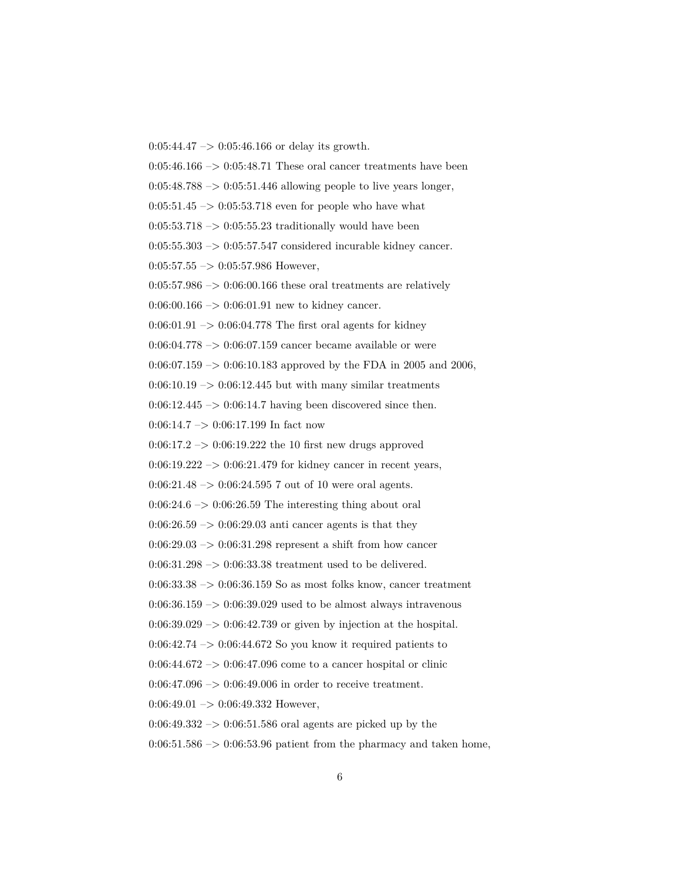$0:05:44.47 \rightarrow 0:05:46.166$  or delay its growth.  $0:05:46.166 \rightarrow 0:05:48.71$  These oral cancer treatments have been  $0:05:48.788 \rightarrow 0:05:51.446$  allowing people to live years longer,  $0:05:51.45 \rightarrow 0:05:53.718$  even for people who have what  $0:05:53.718 \rightarrow 0:05:55.23$  traditionally would have been  $0:05:55.303 \rightarrow 0:05:57.547$  considered incurable kidney cancer.  $0:05:57.55 \rightarrow 0:05:57.986$  However,  $0:05:57.986 \rightarrow 0:06:00.166$  these oral treatments are relatively  $0:06:00.166 \rightarrow 0:06:01.91$  new to kidney cancer.  $0.06:01.91 \rightarrow 0.06:04.778$  The first oral agents for kidney 0:06:04.778 –> 0:06:07.159 cancer became available or were 0:06:07.159 -> 0:06:10.183 approved by the FDA in 2005 and 2006,  $0:06:10.19 \rightarrow 0:06:12.445$  but with many similar treatments  $0:06:12.445 \rightarrow 0:06:14.7$  having been discovered since then.  $0:06:14.7 \rightarrow 0:06:17.199$  In fact now  $0:06:17.2 \rightarrow 0:06:19.222$  the 10 first new drugs approved  $0:06:19.222 \rightarrow 0:06:21.479$  for kidney cancer in recent years,  $0:06:21.48 \rightarrow 0:06:24.595$  7 out of 10 were oral agents.  $0.06:24.6 \rightarrow 0.06:26.59$  The interesting thing about oral  $0:06:26.59 \rightarrow 0:06:29.03$  anti cancer agents is that they  $0:06:29.03 \rightarrow 0:06:31.298$  represent a shift from how cancer 0:06:31.298 –> 0:06:33.38 treatment used to be delivered.  $0.06:33.38 \rightarrow 0.06:36.159$  So as most folks know, cancer treatment  $0:06:36.159 \rightarrow 0:06:39.029$  used to be almost always intravenous  $0.06:39.029 \rightarrow 0.06:42.739$  or given by injection at the hospital.  $0.06:42.74 \rightarrow 0.06:44.672$  So you know it required patients to  $0:06:44.672 \rightarrow 0:06:47.096$  come to a cancer hospital or clinic  $0:06:47.096 \rightarrow 0:06:49.006$  in order to receive treatment.  $0:06:49.01 \rightarrow 0:06:49.332$  However,  $0.06:49.332 \rightarrow 0.06:51.586$  oral agents are picked up by the  $0:06:51.586 \rightarrow 0:06:53.96$  patient from the pharmacy and taken home,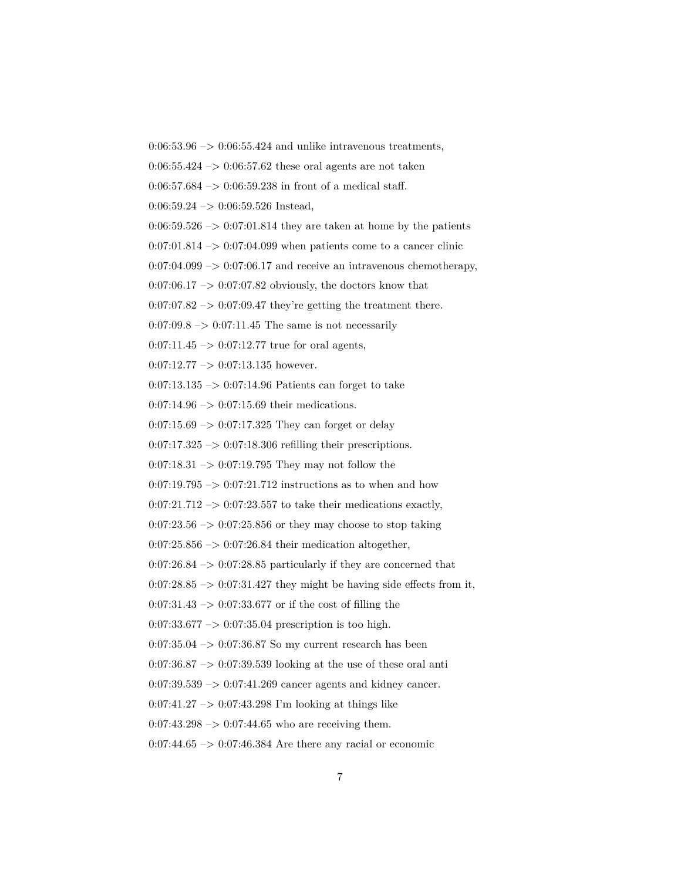$0:06:53.96 \rightarrow 0:06:55.424$  and unlike intravenous treatments,

 $0:06:55.424 \rightarrow 0:06:57.62$  these oral agents are not taken

0:06:57.684  $\rightarrow$  0:06:59.238 in front of a medical staff.

 $0:06:59.24 \rightarrow 0:06:59.526$  Instead,

 $0.06:59.526 \rightarrow 0.07:01.814$  they are taken at home by the patients

 $0:07:01.814 \rightarrow 0:07:04.099$  when patients come to a cancer clinic

 $0:07:04.099 \rightarrow 0:07:06.17$  and receive an intravenous chemotherapy,

 $0:07:06.17 \rightarrow 0:07:07.82$  obviously, the doctors know that

 $0:07:07.82 \rightarrow 0:07:09.47$  they're getting the treatment there.

 $0:07:09.8 \rightarrow 0:07:11.45$  The same is not necessarily

 $0:07:11.45 \rightarrow 0:07:12.77$  true for oral agents,

 $0:07:12.77 \rightarrow 0:07:13.135$  however.

0:07:13.135  $\rightarrow$  0:07:14.96 Patients can forget to take

 $0:07:14.96 \rightarrow 0:07:15.69$  their medications.

 $0:07:15.69 \rightarrow 0:07:17.325$  They can forget or delay

 $0:07:17.325 \rightarrow 0:07:18.306$  refilling their prescriptions.

 $0:07:18.31 \rightarrow 0:07:19.795$  They may not follow the

 $0:07:19.795 \rightarrow 0:07:21.712$  instructions as to when and how

 $0:07:21.712 \rightarrow 0:07:23.557$  to take their medications exactly,

 $0:07:23.56 \rightarrow 0:07:25.856$  or they may choose to stop taking

0:07:25.856 –> 0:07:26.84 their medication altogether,

 $0:07:26.84 \rightarrow 0:07:28.85$  particularly if they are concerned that

 $0:07:28.85 \rightarrow 0:07:31.427$  they might be having side effects from it,

 $0:07:31.43 \rightarrow 0:07:33.677$  or if the cost of filling the

 $0:07:33.677 \rightarrow 0:07:35.04$  prescription is too high.

 $0.07:35.04 \ensuremath{\rightarrow} 0.07:36.87$  So my current research has been

 $0:07:36.87 \rightarrow 0:07:39.539$  looking at the use of these oral anti

 $0:07:39.539 \rightarrow 0:07:41.269$  cancer agents and kidney cancer.

0:07:41.27  $\rightarrow$  0:07:43.298 I'm looking at things like

 $0:07:43.298 \rightarrow 0:07:44.65$  who are receiving them.

 $0:07:44.65 \rightarrow 0:07:46.384$  Are there any racial or economic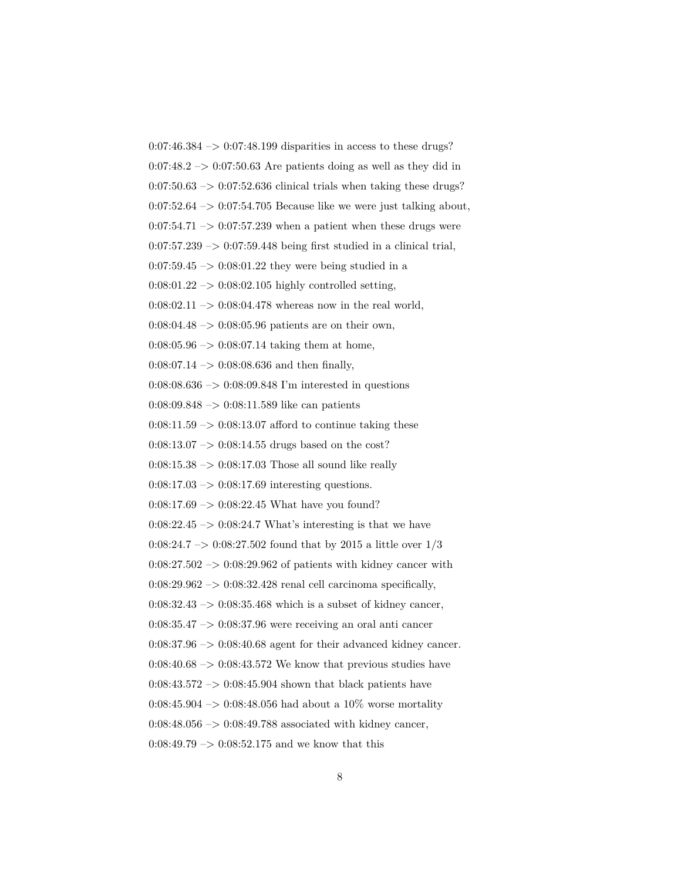$0:07:46.384 \rightarrow 0:07:48.199$  disparities in access to these drugs?  $0.07:48.2 \rightarrow 0.07:50.63$  Are patients doing as well as they did in  $0.07:50.63 \rightarrow 0.07:52.636$  clinical trials when taking these drugs?  $0:07:52.64 \rightarrow 0:07:54.705$  Because like we were just talking about,  $0:07:54.71 \rightarrow 0:07:57.239$  when a patient when these drugs were  $0:07:57.239 \rightarrow 0:07:59.448$  being first studied in a clinical trial,  $0:07:59.45 \rightarrow 0:08:01.22$  they were being studied in a  $0:08:01.22 \rightarrow 0:08:02.105$  highly controlled setting,  $0:08:02.11 \rightarrow 0:08:04.478$  whereas now in the real world,  $0:08:04.48 \rightarrow 0:08:05.96$  patients are on their own,  $0:08:05.96 \rightarrow 0:08:07.14$  taking them at home, 0:08:07.14  $->$  0:08:08.636 and then finally, 0:08:08.636 –> 0:08:09.848 I'm interested in questions  $0:08:09.848 \rightarrow 0:08:11.589$  like can patients  $0:08:11.59 \rightarrow 0:08:13.07$  afford to continue taking these  $0:08:13.07 \rightarrow 0:08:14.55$  drugs based on the cost?  $0:08:15.38 \rightarrow 0:08:17.03$  Those all sound like really  $0:08:17.03 \rightarrow 0:08:17.69$  interesting questions.  $0:08:17.69 \rightarrow 0:08:22.45$  What have you found?  $0:08:22.45 \ensuremath{\rightarrow} 0:08:24.7$  What's interesting is that we have 0:08:24.7 -> 0:08:27.502 found that by 2015 a little over  $1/3$  $0:08:27.502 \rightarrow 0:08:29.962$  of patients with kidney cancer with  $0:08:29.962 \rightarrow 0:08:32.428$  renal cell carcinoma specifically,  $0:08:32.43 \rightarrow 0:08:35.468$  which is a subset of kidney cancer,  $0.08:35.47 \rightarrow 0.08:37.96$  were receiving an oral anti cancer  $0:08:37.96 \rightarrow 0:08:40.68$  agent for their advanced kidney cancer.  $0.08:40.68 \rightarrow 0.08:43.572$  We know that previous studies have  $0:08:43.572 \rightarrow 0:08:45.904$  shown that black patients have 0:08:45.904 –> 0:08:48.056 had about a 10\% worse mortality 0:08:48.056  $\rightarrow$  0:08:49.788 associated with kidney cancer,  $0:08:49.79 \rightarrow 0:08:52.175$  and we know that this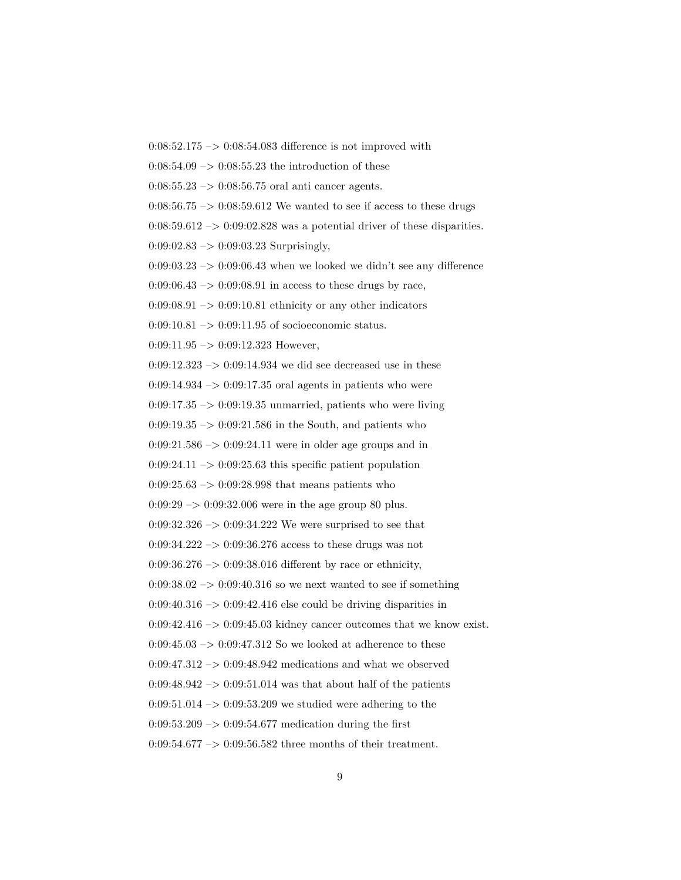$0:08:52.175 \rightarrow 0:08:54.083$  difference is not improved with

 $0:08:54.09 \rightarrow 0:08:55.23$  the introduction of these

 $0:08:55.23 \rightarrow 0:08:56.75$  oral anti cancer agents.

 $0:08:56.75 \rightarrow 0:08:59.612$  We wanted to see if access to these drugs

 $0:08:59.612 \rightarrow 0:09:02.828$  was a potential driver of these disparities.

 $0:09:02.83 \rightarrow 0:09:03.23$  Surprisingly,

 $0:09:03.23 \rightarrow 0:09:06.43$  when we looked we didn't see any difference

 $0:09:06.43 \rightarrow 0:09:08.91$  in access to these drugs by race,

 $0.09:08.91 \rightarrow 0.09:10.81$  ethnicity or any other indicators

 $0:09:10.81 \rightarrow 0:09:11.95$  of socioeconomic status.

 $0:09:11.95 \rightarrow 0:09:12.323$  However,

 $0:09:12.323 \rightarrow 0:09:14.934$  we did see decreased use in these

 $0:09:14.934 \rightarrow 0:09:17.35$  oral agents in patients who were

 $0:09:17.35 \rightarrow 0:09:19.35$  unmarried, patients who were living

 $0:09:19.35 \rightarrow 0:09:21.586$  in the South, and patients who

 $0:09:21.586 \rightarrow 0:09:24.11$  were in older age groups and in

 $0:09:24.11 \rightarrow 0:09:25.63$  this specific patient population

 $0:09:25.63 \rightarrow 0:09:28.998$  that means patients who

 $0:09:29 \rightarrow 0:09:32.006$  were in the age group 80 plus.

 $0:09:32.326 \rightarrow 0:09:34.222$  We were surprised to see that

 $0:09:34.222 \rightarrow 0:09:36.276$  access to these drugs was not

0:09:36.276  $\rightarrow$  0:09:38.016 different by race or ethnicity,

 $0.09:38.02 \rightarrow 0.09:40.316$  so we next wanted to see if something

 $0:09:40.316 \rightarrow 0:09:42.416$  else could be driving disparities in

 $0.09:42.416 \rightarrow 0.09:45.03$  kidney cancer outcomes that we know exist.

 $0:09:45.03 \rightarrow 0:09:47.312$  So we looked at adherence to these

 $0:09:47.312 \rightarrow 0:09:48.942$  medications and what we observed

 $0:09:48.942 \rightarrow 0:09:51.014$  was that about half of the patients

 $0.09:51.014 \rightarrow 0.09:53.209$  we studied were adhering to the

 $0.09:53.209 \rightarrow 0.09:54.677$  medication during the first

0:09:54.677 –> 0:09:56.582 three months of their treatment.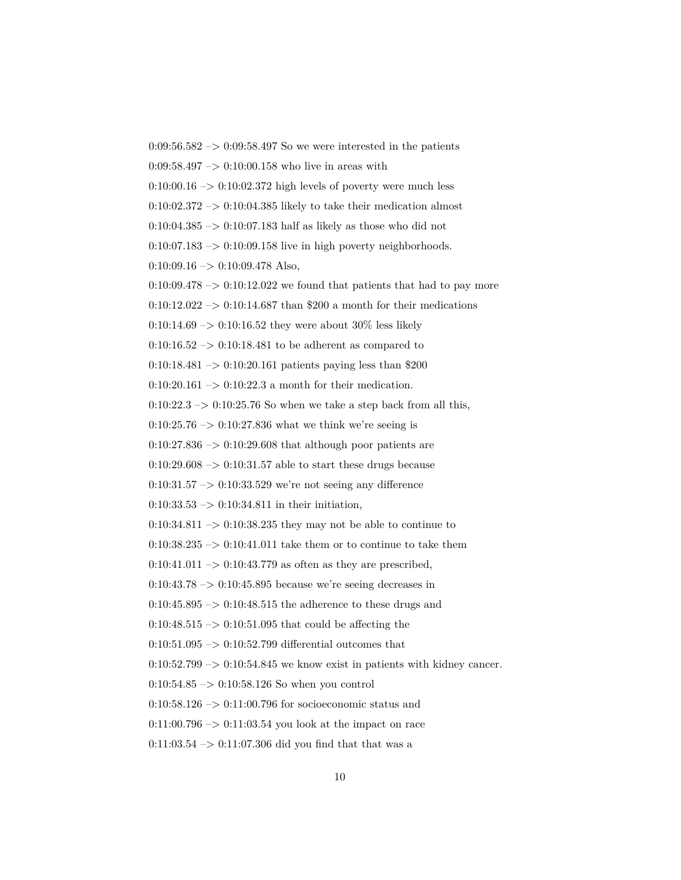$0:09:56.582 \rightarrow 0:09:58.497$  So we were interested in the patients  $0:09:58.497 \rightarrow 0:10:00.158$  who live in areas with  $0:10:00.16 \rightarrow 0:10:02.372$  high levels of poverty were much less  $0:10:02.372 \rightarrow 0:10:04.385$  likely to take their medication almost  $0:10:04.385 \rightarrow 0:10:07.183$  half as likely as those who did not  $0:10:07.183 \rightarrow 0:10:09.158$  live in high poverty neighborhoods.  $0:10:09.16 \rightarrow 0:10:09.478$  Also,  $0:10:09.478 \rightarrow 0:10:12.022$  we found that patients that had to pay more 0:10:12.022 -> 0:10:14.687 than \$200 a month for their medications 0:10:14.69 –> 0:10:16.52 they were about  $30\%$  less likely  $0:10:16.52 \rightarrow 0:10:18.481$  to be adherent as compared to 0:10:18.481 –> 0:10:20.161 patients paying less than \$200 0:10:20.161 –> 0:10:22.3 a month for their medication.  $0:10:22.3 \rightarrow 0:10:25.76$  So when we take a step back from all this,  $0:10:25.76 \rightarrow 0:10:27.836$  what we think we're seeing is  $0:10:27.836 \rightarrow 0:10:29.608$  that although poor patients are  $0:10:29.608 \rightarrow 0:10:31.57$  able to start these drugs because  $0:10:31.57 \rightarrow 0:10:33.529$  we're not seeing any difference  $0:10:33.53 \rightarrow 0:10:34.811$  in their initiation,  $0:10:34.811 \rightarrow 0:10:38.235$  they may not be able to continue to  $0:10:38.235 \rightarrow 0:10:41.011$  take them or to continue to take them  $0:10:41.011 \rightarrow 0:10:43.779$  as often as they are prescribed,  $0.10:43.78 \rightarrow 0.10:45.895$  because we're seeing decreases in  $0:10:45.895 \rightarrow 0:10:48.515$  the adherence to these drugs and  $0:10:48.515 \rightarrow 0:10:51.095$  that could be affecting the  $0:10:51.095 \rightarrow 0:10:52.799$  differential outcomes that  $0:10:52.799 \rightarrow 0:10:54.845$  we know exist in patients with kidney cancer.  $0:10:54.85 \rightarrow 0:10:58.126$  So when you control 0:10:58.126  $\rightarrow$  0:11:00.796 for socioeconomic status and  $0:11:00.796 \rightarrow 0:11:03.54$  you look at the impact on race  $0:11:03.54 \rightarrow 0:11:07.306$  did you find that that was a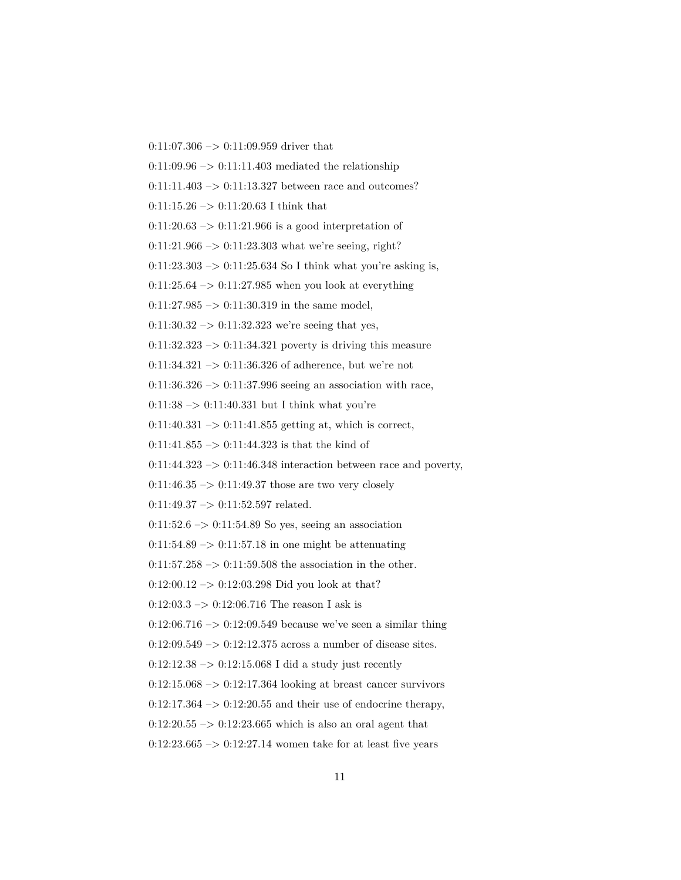$0:11:07.306 \rightarrow 0:11:09.959$  driver that

 $0:11:09.96 \rightarrow 0:11:11.403$  mediated the relationship

0:11:11.403  $\rightarrow$  0:11:13.327 between race and outcomes?

 $0:11:15.26 \rightarrow 0:11:20.63$  I think that

 $0:11:20.63 \rightarrow 0:11:21.966$  is a good interpretation of

 $0:11:21.966 \rightarrow 0:11:23.303$  what we're seeing, right?

 $0:11:23.303 \rightarrow 0:11:25.634$  So I think what you're asking is,

 $0:11:25.64 \rightarrow 0:11:27.985$  when you look at everything

 $0:11:27.985 \rightarrow 0:11:30.319$  in the same model,

 $0:11:30.32 \rightarrow 0:11:32.323$  we're seeing that yes,

 $0:11:32.323 \rightarrow 0:11:34.321$  poverty is driving this measure

0:11:34.321  $\rightarrow$  0:11:36.326 of adherence, but we're not

 $0:11:36.326 \rightarrow 0:11:37.996$  seeing an association with race,

 $0:11:38 \rightarrow 0:11:40.331$  but I think what you're

 $0:11:40.331 \rightarrow 0:11:41.855$  getting at, which is correct,

 $0:11:41.855 \rightarrow 0:11:44.323$  is that the kind of

 $0:11:44.323 \rightarrow 0:11:46.348$  interaction between race and poverty,

 $0:11:46.35 \rightarrow 0:11:49.37$  those are two very closely

 $0:11:49.37 \rightarrow 0:11:52.597$  related.

 $0:11:52.6 \rightarrow 0:11:54.89$  So yes, seeing an association

 $0:11:54.89 \rightarrow 0:11:57.18$  in one might be attenuating

 $0:11:57.258 \rightarrow 0:11:59.508$  the association in the other.

0:12:00.12  $\rightarrow$  0:12:03.298 Did you look at that?

 $0:12:03.3 \rightarrow 0:12:06.716$  The reason I ask is

 $0:12:06.716 \rightarrow 0:12:09.549$  because we've seen a similar thing

0:12:09.549  $\Rightarrow$  0:12:12.375 across a number of disease sites.

 $0:12:12.38 \rightarrow 0:12:15.068$  I did a study just recently

 $0:12:15.068 \rightarrow 0:12:17.364$  looking at breast cancer survivors

 $0:12:17.364 \rightarrow 0:12:20.55$  and their use of endocrine therapy,

 $0:12:20.55 \rightarrow 0:12:23.665$  which is also an oral agent that

 $0:12:23.665 \rightarrow 0:12:27.14$  women take for at least five years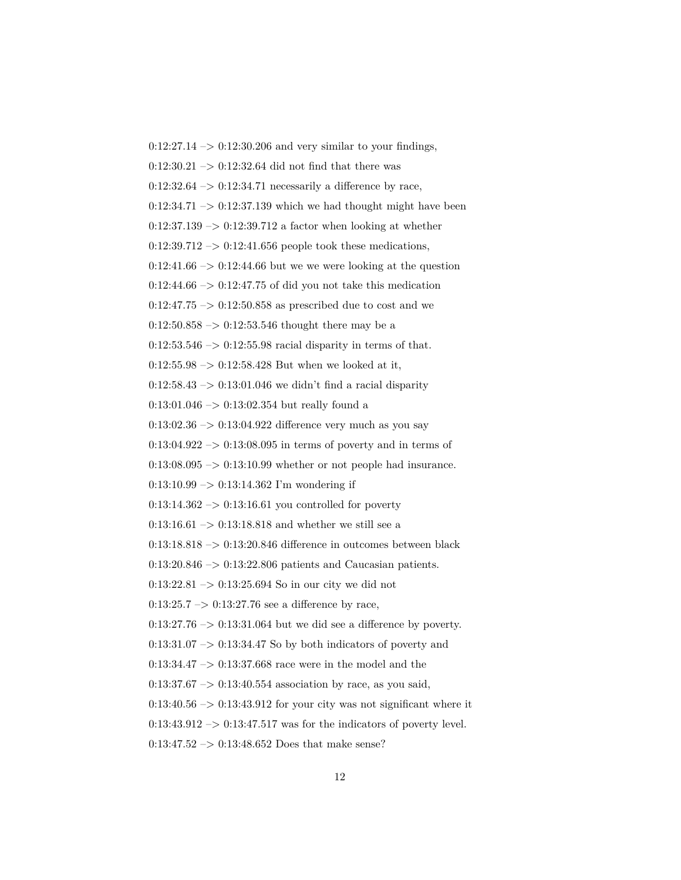$0:12:27.14 \rightarrow 0:12:30.206$  and very similar to your findings,  $0:12:30.21 \rightarrow 0:12:32.64$  did not find that there was  $0:12:32.64 \rightarrow 0:12:34.71$  necessarily a difference by race,  $0:12:34.71 \rightarrow 0:12:37.139$  which we had thought might have been  $0:12:37.139 \rightarrow 0:12:39.712$  a factor when looking at whether  $0:12:39.712 \rightarrow 0:12:41.656$  people took these medications,  $0:12:41.66 \rightarrow 0:12:44.66$  but we we were looking at the question  $0:12:44.66 \rightarrow 0:12:47.75$  of did you not take this medication 0:12:47.75  $\rightarrow$  0:12:50.858 as prescribed due to cost and we  $0:12:50.858 \rightarrow 0:12:53.546$  thought there may be a  $0:12:53.546 \rightarrow 0:12:55.98$  racial disparity in terms of that.  $0:12:55.98 \rightarrow 0:12:58.428$  But when we looked at it,  $0:12:58.43 \rightarrow 0:13:01.046$  we didn't find a racial disparity  $0:13:01.046 \rightarrow 0:13:02.354$  but really found a  $0:13:02.36 \rightarrow 0:13:04.922$  difference very much as you say  $0:13:04.922 \rightarrow 0:13:08.095$  in terms of poverty and in terms of  $0:13:08.095 \rightarrow 0:13:10.99$  whether or not people had insurance.  $0:13:10.99 \rightarrow 0:13:14.362$  I'm wondering if  $0:13:14.362 \rightarrow 0:13:16.61$  you controlled for poverty 0:13:16.61  $\rightarrow$  0:13:18.818 and whether we still see a 0:13:18.818  $\rightarrow$  0:13:20.846 difference in outcomes between black 0:13:20.846 –> 0:13:22.806 patients and Caucasian patients.  $0:13:22.81 \rightarrow 0:13:25.694$  So in our city we did not  $0:13:25.7 \rightarrow 0:13:27.76$  see a difference by race,  $0:13:27.76 \rightarrow 0:13:31.064$  but we did see a difference by poverty.  $0:13:31.07 \rightarrow 0:13:34.47$  So by both indicators of poverty and 0:13:34.47 –> 0:13:37.668 race were in the model and the  $0:13:37.67 \rightarrow 0:13:40.554$  association by race, as you said,  $0:13:40.56 \rightarrow 0:13:43.912$  for your city was not significant where it  $0:13:43.912 \rightarrow 0:13:47.517$  was for the indicators of poverty level.  $0:13:47.52 \rightarrow 0:13:48.652$  Does that make sense?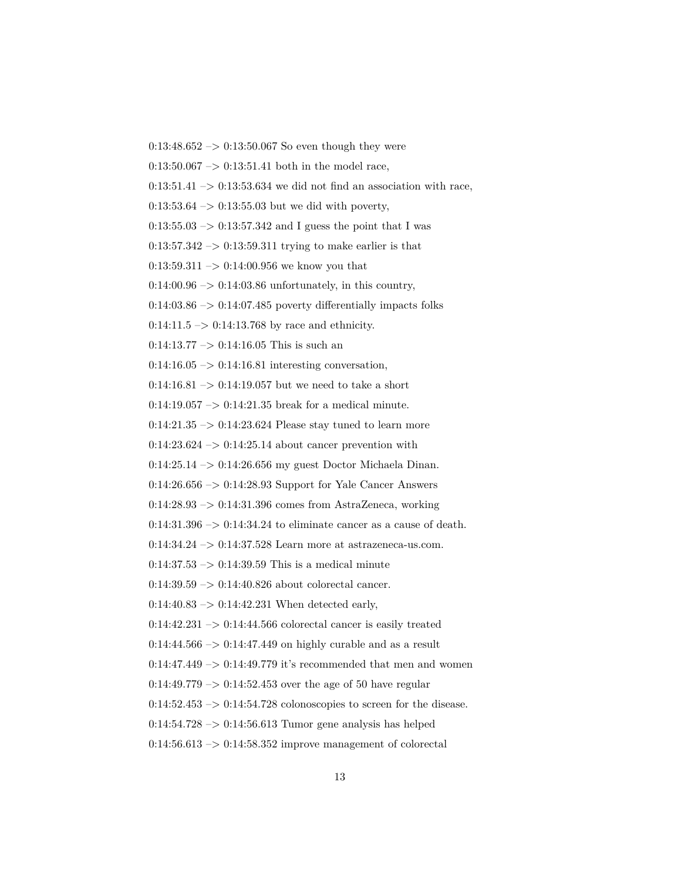$0:13:48.652 \rightarrow 0:13:50.067$  So even though they were

 $0:13:50.067 \rightarrow 0:13:51.41$  both in the model race,

 $0:13:51.41 \rightarrow 0:13:53.634$  we did not find an association with race,

 $0:13:53.64 \rightarrow 0:13:55.03$  but we did with poverty,

 $0:13:55.03 \rightarrow 0:13:57.342$  and I guess the point that I was

 $0:13:57.342 \rightarrow 0:13:59.311$  trying to make earlier is that

0:13:59.311 –> 0:14:00.956 we know you that

 $0:14:00.96 \rightarrow 0:14:03.86$  unfortunately, in this country,

 $0:14:03.86 \rightarrow 0:14:07.485$  poverty differentially impacts folks

 $0:14:11.5 \rightarrow 0:14:13.768$  by race and ethnicity.

 $0:14:13.77 \rightarrow 0:14:16.05$  This is such an

 $0:14:16.05 \rightarrow 0:14:16.81$  interesting conversation,

0:14:16.81 –> 0:14:19.057 but we need to take a short

 $0:14:19.057 \rightarrow 0:14:21.35$  break for a medical minute.

 $0:14:21.35 \rightarrow 0:14:23.624$  Please stay tuned to learn more

 $0:14:23.624 \rightarrow 0:14:25.14$  about cancer prevention with

0:14:25.14 –> 0:14:26.656 my guest Doctor Michaela Dinan.

 $0:14:26.656 \rightarrow 0:14:28.93$  Support for Yale Cancer Answers

 $0.14:28.93 \rightarrow 0.14:31.396$  comes from AstraZeneca, working

 $0:14:31.396 \rightarrow 0:14:34.24$  to eliminate cancer as a cause of death.

0:14:34.24 –> 0:14:37.528 Learn more at astrazeneca-us.com.

 $0:14:37.53 \rightarrow 0:14:39.59$  This is a medical minute

 $0:14:39.59 \rightarrow 0:14:40.826$  about colorectal cancer.

 $0:14:40.83 \rightarrow 0:14:42.231$  When detected early,

 $0:14:42.231 \rightarrow 0:14:44.566$  colorectal cancer is easily treated

 $0:14:44.566 \rightarrow 0:14:47.449$  on highly curable and as a result

0:14:47.449  $->$  0:14:49.779 it's recommended that men and women

 $0:14:49.779 \rightarrow 0:14:52.453$  over the age of 50 have regular

 $0:14:52.453 \rightarrow 0:14:54.728$  colonoscopies to screen for the disease.

 $0.14:54.728 \rightarrow 0.14:56.613$  Tumor gene analysis has helped

 $0:14:56.613 \rightarrow 0:14:58.352$  improve management of colorectal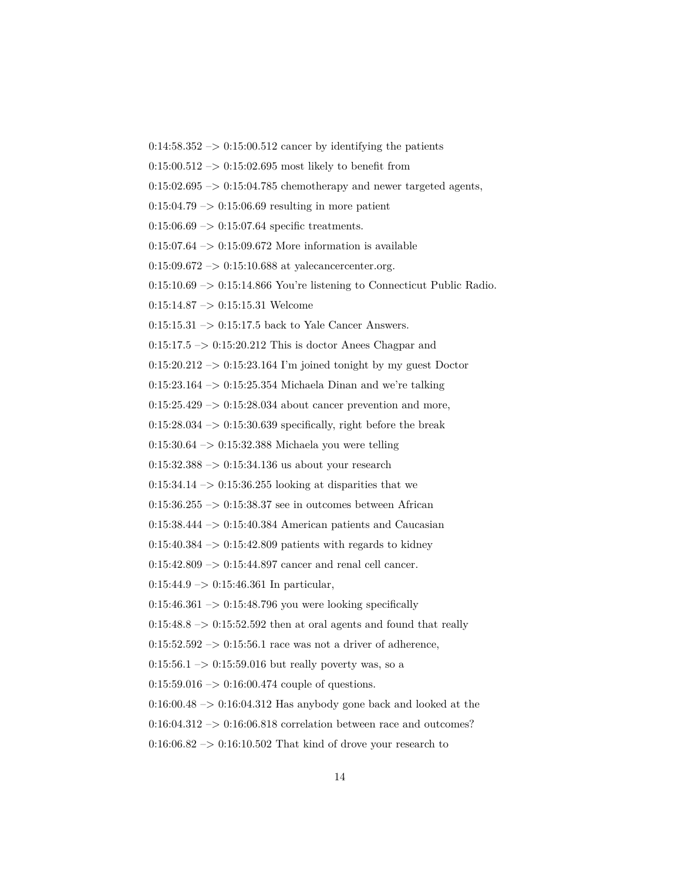- $0:14:58.352 \rightarrow 0:15:00.512$  cancer by identifying the patients
- $0:15:00.512 \rightarrow 0:15:02.695$  most likely to benefit from
- $0:15:02.695 \rightarrow 0:15:04.785$  chemotherapy and newer targeted agents,
- $0:15:04.79 \rightarrow 0:15:06.69$  resulting in more patient
- $0:15:06.69 \rightarrow 0:15:07.64$  specific treatments.
- $0:15:07.64 \rightarrow 0:15:09.672$  More information is available
- $0:15:09.672 \rightarrow 0:15:10.688$  at yalecancercenter.org.
- $0:15:10.69 \rightarrow 0:15:14.866$  You're listening to Connecticut Public Radio.
- 0:15:14.87 –> 0:15:15.31 Welcome
- $0:15:15.31 \rightarrow 0:15:17.5$  back to Yale Cancer Answers.
- $0:15:17.5 \rightarrow 0:15:20.212$  This is doctor Anees Chagpar and
- $0:15:20.212 \rightarrow 0:15:23.164$  I'm joined tonight by my guest Doctor
- 0:15:23.164 –> 0:15:25.354 Michaela Dinan and we're talking
- $0:15:25.429 \rightarrow 0:15:28.034$  about cancer prevention and more,
- $0:15:28.034 \rightarrow 0:15:30.639$  specifically, right before the break
- $0:15:30.64 \rightarrow 0:15:32.388$  Michaela you were telling
- $0:15:32.388 \rightarrow 0:15:34.136$  us about your research
- $0:15:34.14 \rightarrow 0:15:36.255$  looking at disparities that we
- $0:15:36.255 \rightarrow 0:15:38.37$  see in outcomes between African
- 0:15:38.444 –> 0:15:40.384 American patients and Caucasian
- $0:15:40.384 \rightarrow 0:15:42.809$  patients with regards to kidney
- 0:15:42.809 –> 0:15:44.897 cancer and renal cell cancer.
- $0:15:44.9 \rightarrow 0:15:46.361$  In particular,
- $0:15:46.361 \rightarrow 0:15:48.796$  you were looking specifically
- $0.15:48.8 \rightarrow 0.15:52.592$  then at oral agents and found that really
- $0:15:52.592 \rightarrow 0:15:56.1$  race was not a driver of adherence,
- $0:15:56.1 \rightarrow 0:15:59.016$  but really poverty was, so a
- $0:15:59.016 \rightarrow 0:16:00.474$  couple of questions.
- $0:16:00.48 \rightarrow 0:16:04.312$  Has anybody gone back and looked at the
- $0:16:04.312 \rightarrow 0:16:06.818$  correlation between race and outcomes?
- $0:16:06.82 \rightarrow 0:16:10.502$  That kind of drove your research to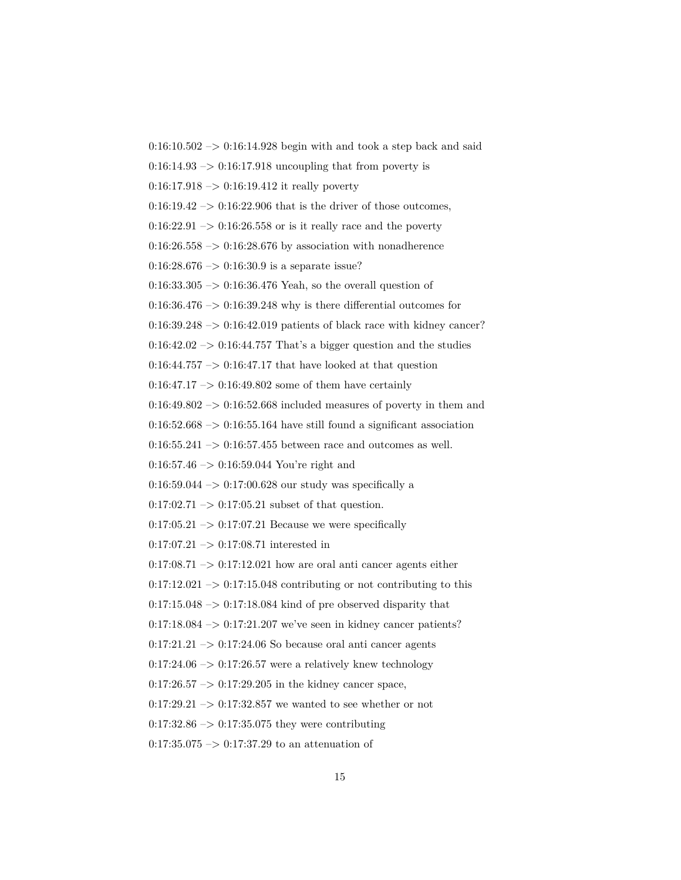$0:16:10.502 \rightarrow 0:16:14.928$  begin with and took a step back and said  $0:16:14.93 \rightarrow 0:16:17.918$  uncoupling that from poverty is  $0:16:17.918 \rightarrow 0:16:19.412$  it really poverty  $0.16:19.42 \rightarrow 0.16:22.906$  that is the driver of those outcomes,  $0:16:22.91 \rightarrow 0:16:26.558$  or is it really race and the poverty  $0:16:26.558 \rightarrow 0:16:28.676$  by association with nonadherence  $0:16:28.676 \rightarrow 0:16:30.9$  is a separate issue?  $0:16:33.305 \rightarrow 0:16:36.476$  Yeah, so the overall question of  $0:16:36.476 \rightarrow 0:16:39.248$  why is there differential outcomes for  $0:16:39.248 \rightarrow 0:16:42.019$  patients of black race with kidney cancer?  $0:16:42.02 \rightarrow 0:16:44.757$  That's a bigger question and the studies  $0:16:44.757 \rightarrow 0:16:47.17$  that have looked at that question  $0:16:47.17 \rightarrow 0:16:49.802$  some of them have certainly  $0:16:49.802 \rightarrow 0:16:52.668$  included measures of poverty in them and  $0:16:52.668 \rightarrow 0:16:55.164$  have still found a significant association  $0:16:55.241 \rightarrow 0:16:57.455$  between race and outcomes as well. 0:16:57.46 –> 0:16:59.044 You're right and 0:16:59.044 –> 0:17:00.628 our study was specifically a  $0:17:02.71 \rightarrow 0:17:05.21$  subset of that question.  $0:17:05.21 \rightarrow 0:17:07.21$  Because we were specifically  $0:17:07.21 \rightarrow 0:17:08.71$  interested in  $0:17:08.71 \rightarrow 0:17:12.021$  how are oral anti cancer agents either  $0:17:12.021 \rightarrow 0:17:15.048$  contributing or not contributing to this  $0:17:15.048 \rightarrow 0:17:18.084$  kind of pre observed disparity that  $0.17:18.084 \rightarrow 0.17:21.207$  we've seen in kidney cancer patients?  $0:17:21.21 \rightarrow 0:17:24.06$  So because oral anti cancer agents  $0:17:24.06 \rightarrow 0:17:26.57$  were a relatively knew technology  $0:17:26.57 \rightarrow 0:17:29.205$  in the kidney cancer space,  $0:17:29.21 \rightarrow 0:17:32.857$  we wanted to see whether or not  $0:17:32.86 \rightarrow 0:17:35.075$  they were contributing  $0:17:35.075 \rightarrow 0:17:37.29$  to an attenuation of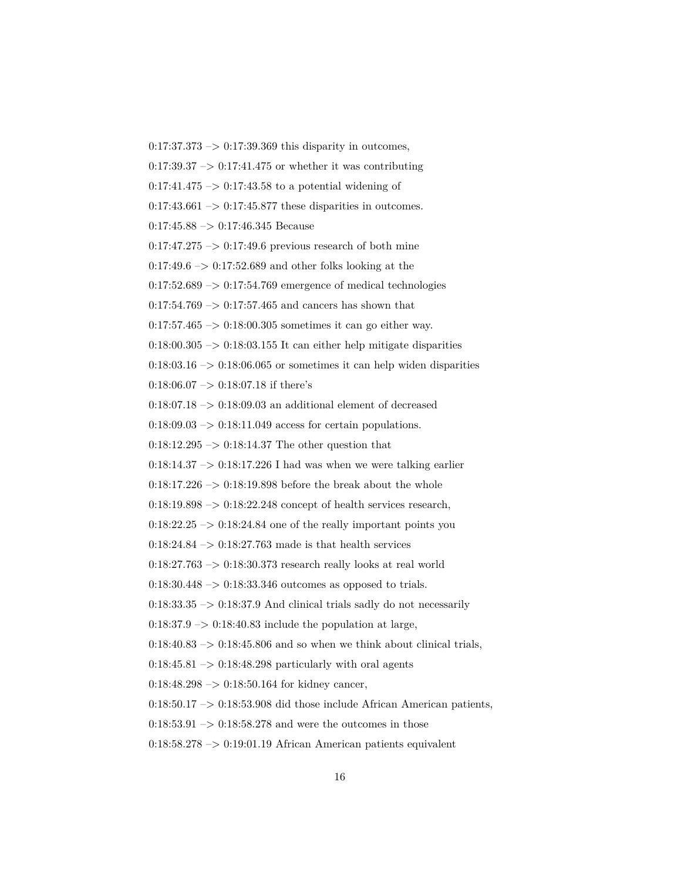$0:17:37.373 \rightarrow 0:17:39.369$  this disparity in outcomes,  $0.17:39.37 \rightarrow 0.17:41.475$  or whether it was contributing  $0:17:41.475 \rightarrow 0:17:43.58$  to a potential widening of  $0:17:43.661 \rightarrow 0:17:45.877$  these disparities in outcomes.  $0:17:45.88 \rightarrow 0:17:46.345$  Because  $0:17:47.275 \rightarrow 0:17:49.6$  previous research of both mine  $0:17:49.6 \rightarrow 0:17:52.689$  and other folks looking at the  $0:17:52.689 \rightarrow 0:17:54.769$  emergence of medical technologies  $0:17:54.769 \rightarrow 0:17:57.465$  and cancers has shown that 0:17:57.465  $\rightarrow$  0:18:00.305 sometimes it can go either way.  $0.18:00.305 \rightarrow 0.18:03.155$  It can either help mitigate disparities  $0:18:03.16 \rightarrow 0:18:06.065$  or sometimes it can help widen disparities 0:18:06.07  $\Longrightarrow$  0:18:07.18 if there's  $0.18:07.18 \rightarrow 0.18:09.03$  an additional element of decreased  $0.18:09.03 \rightarrow 0.18:11.049$  access for certain populations.  $0:18:12.295 \rightarrow 0:18:14.37$  The other question that  $0:18:14.37 \rightarrow 0:18:17.226$  I had was when we were talking earlier  $0:18:17.226 \rightarrow 0:18:19.898$  before the break about the whole  $0.18:19.898 \rightarrow 0.18:22.248$  concept of health services research,  $0.18:22.25 \rightarrow 0.18:24.84$  one of the really important points you  $0:18:24.84 \rightarrow 0:18:27.763$  made is that health services  $0:18:27.763 \rightarrow 0:18:30.373$  research really looks at real world  $0.18:30.448 \rightarrow 0.18:33.346$  outcomes as opposed to trials.  $0:18:33.35 \rightarrow 0:18:37.9$  And clinical trials sadly do not necessarily  $0.18:37.9 \rightarrow 0.18:40.83$  include the population at large,  $0:18:40.83 \rightarrow 0:18:45.806$  and so when we think about clinical trials,  $0.18:45.81 \rightarrow 0.18:48.298$  particularly with oral agents  $0:18:48.298 \rightarrow 0:18:50.164$  for kidney cancer,  $0:18:50.17 \rightarrow 0:18:53.908$  did those include African American patients,  $0.18:53.91 \rightarrow 0.18:58.278$  and were the outcomes in those  $0.18:58.278 \rightarrow 0.19:01.19$  African American patients equivalent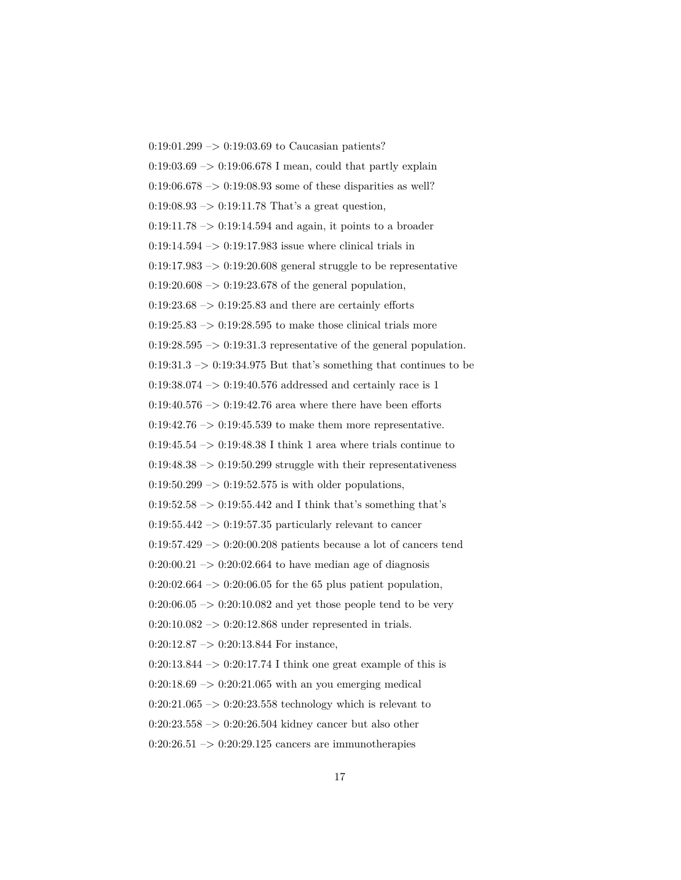0:19:01.299 –> 0:19:03.69 to Caucasian patients?  $0:19:03.69 \rightarrow 0:19:06.678$  I mean, could that partly explain  $0.19:06.678 \rightarrow 0.19:08.93$  some of these disparities as well?  $0:19:08.93 \rightarrow 0:19:11.78$  That's a great question,  $0:19:11.78 \rightarrow 0:19:14.594$  and again, it points to a broader  $0:19:14.594 \rightarrow 0:19:17.983$  issue where clinical trials in 0:19:17.983  $\rightarrow$  0:19:20.608 general struggle to be representative  $0:19:20.608 \rightarrow 0:19:23.678$  of the general population,  $0:19:23.68 \rightarrow 0:19:25.83$  and there are certainly efforts  $0.19:25.83 \rightarrow 0.19:28.595$  to make those clinical trials more  $0:19:28.595 \rightarrow 0:19:31.3$  representative of the general population.  $0:19:31.3 \rightarrow 0:19:34.975$  But that's something that continues to be 0:19:38.074  $\rightarrow$  0:19:40.576 addressed and certainly race is 1 0:19:40.576  $->$  0:19:42.76 area where there have been efforts  $0:19:42.76 \rightarrow 0:19:45.539$  to make them more representative. 0:19:45.54  $\rightarrow$  0:19:48.38 I think 1 area where trials continue to  $0:19:48.38 \rightarrow 0:19:50.299$  struggle with their representativeness  $0.19:50.299 \rightarrow 0.19:52.575$  is with older populations,  $0:19:52.58 \rightarrow 0:19:55.442$  and I think that's something that's  $0:19:55.442 \rightarrow 0:19:57.35$  particularly relevant to cancer 0:19:57.429 –> 0:20:00.208 patients because a lot of cancers tend  $0:20:00.21 \rightarrow 0:20:02.664$  to have median age of diagnosis  $0:20:02.664 \rightarrow 0:20:06.05$  for the 65 plus patient population,  $0:20:06.05 \rightarrow 0:20:10.082$  and yet those people tend to be very  $0:20:10.082 \rightarrow 0:20:12.868$  under represented in trials.  $0:20:12.87 \rightarrow 0:20:13.844$  For instance,  $0:20:13.844 \rightarrow 0:20:17.74$  I think one great example of this is  $0:20:18.69 \rightarrow 0:20:21.065$  with an you emerging medical  $0:20:21.065 \rightarrow 0:20:23.558$  technology which is relevant to  $0:20:23.558 \rightarrow 0:20:26.504$  kidney cancer but also other  $0:20:26.51 \rightarrow 0:20:29.125$  cancers are immunotherapies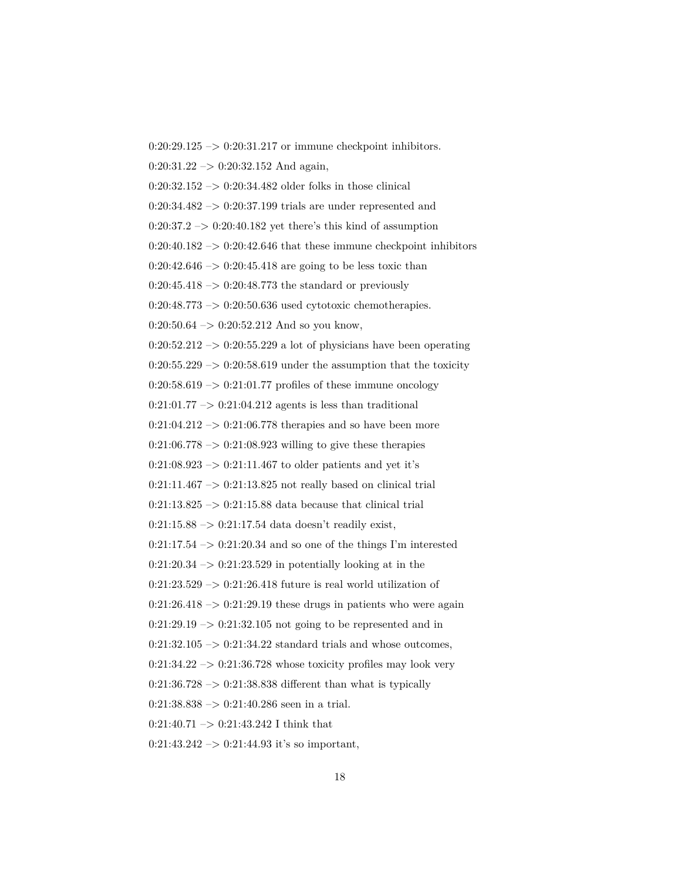$0:20:29.125 \rightarrow 0:20:31.217$  or immune checkpoint inhibitors.  $0:20:31.22 \rightarrow 0:20:32.152$  And again,  $0:20:32.152 \rightarrow 0:20:34.482$  older folks in those clinical  $0:20:34.482 \rightarrow 0:20:37.199$  trials are under represented and  $0:20:37.2 \rightarrow 0:20:40.182$  yet there's this kind of assumption  $0:20:40.182 \rightarrow 0:20:42.646$  that these immune checkpoint inhibitors  $0:20:42.646 \rightarrow 0:20:45.418$  are going to be less toxic than  $0:20:45.418 \rightarrow 0:20:48.773$  the standard or previously  $0:20:48.773 \rightarrow 0:20:50.636$  used cytotoxic chemotherapies.  $0:20:50.64 \rightarrow 0:20:52.212$  And so you know,  $0:20:52.212 \rightarrow 0:20:55.229$  a lot of physicians have been operating  $0:20:55.229 \rightarrow 0:20:58.619$  under the assumption that the toxicity  $0:20:58.619 \rightarrow 0:21:01.77$  profiles of these immune oncology  $0:21:01.77 \rightarrow 0:21:04.212$  agents is less than traditional  $0:21:04.212 \rightarrow 0:21:06.778$  therapies and so have been more  $0:21:06.778 \rightarrow 0:21:08.923$  willing to give these therapies  $0:21:08.923 \rightarrow 0:21:11.467$  to older patients and yet it's  $0:21:11.467 \rightarrow 0:21:13.825$  not really based on clinical trial  $0:21:13.825 \rightarrow 0:21:15.88$  data because that clinical trial  $0:21:15.88 \rightarrow 0:21:17.54$  data doesn't readily exist,  $0:21:17.54 \rightarrow 0:21:20.34$  and so one of the things I'm interested  $0:21:20.34 \rightarrow 0:21:23.529$  in potentially looking at in the  $0:21:23.529 \rightarrow 0:21:26.418$  future is real world utilization of  $0:21:26.418 \rightarrow 0:21:29.19$  these drugs in patients who were again  $0:21:29.19 \rightarrow 0:21:32.105$  not going to be represented and in  $0:21:32.105 \rightarrow 0:21:34.22$  standard trials and whose outcomes,  $0:21:34.22 \rightarrow 0:21:36.728$  whose toxicity profiles may look very  $0:21:36.728 \rightarrow 0:21:38.838$  different than what is typically  $0:21:38.838 \rightarrow 0:21:40.286$  seen in a trial.  $0:21:40.71 \rightarrow 0:21:43.242$  I think that  $0:21:43.242 \rightarrow 0:21:44.93$  it's so important,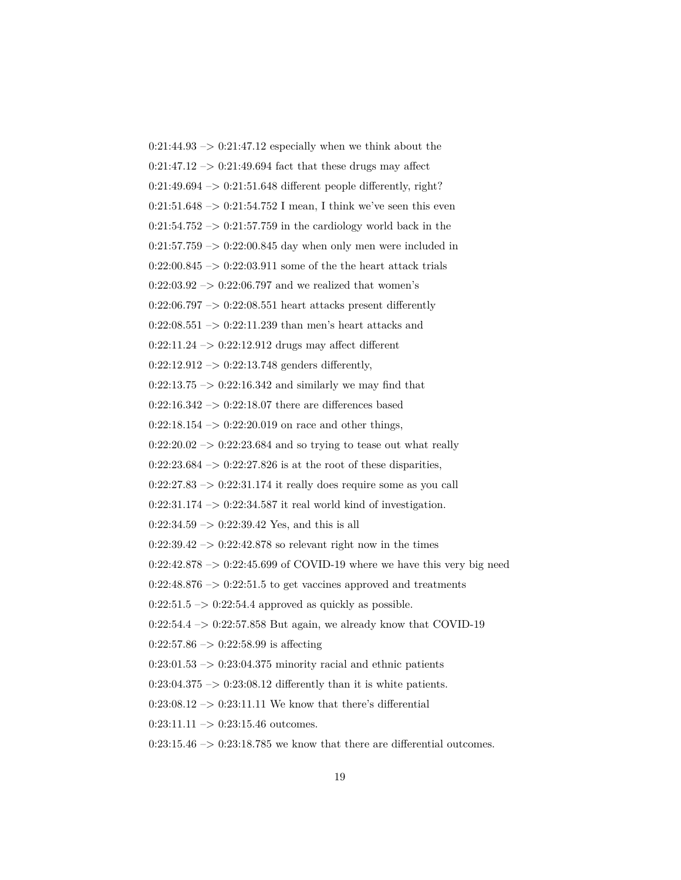$0:21:44.93 \rightarrow 0:21:47.12$  especially when we think about the  $0:21:47.12 \rightarrow 0:21:49.694$  fact that these drugs may affect  $0:21:49.694 \rightarrow 0:21:51.648$  different people differently, right?  $0:21:51.648 \rightarrow 0:21:54.752$  I mean, I think we've seen this even  $0:21:54.752 \rightarrow 0:21:57.759$  in the cardiology world back in the  $0:21:57.759 \rightarrow 0:22:00.845$  day when only men were included in  $0:22:00.845 \rightarrow 0:22:03.911$  some of the the heart attack trials  $0:22:03.92 \rightarrow 0:22:06.797$  and we realized that women's  $0:22:06.797 \rightarrow 0:22:08.551$  heart attacks present differently  $0:22:08.551 \rightarrow 0:22:11.239$  than men's heart attacks and  $0:22:11.24 \rightarrow 0:22:12.912$  drugs may affect different  $0:22:12.912 \rightarrow 0:22:13.748$  genders differently,  $0:22:13.75 \rightarrow 0:22:16.342$  and similarly we may find that  $0:22:16.342 \rightarrow 0:22:18.07$  there are differences based  $0:22:18.154 \rightarrow 0:22:20.019$  on race and other things,  $0:22:20.02 \rightarrow 0:22:23.684$  and so trying to tease out what really  $0:22:23.684 \rightarrow 0:22:27.826$  is at the root of these disparities,  $0:22:27.83 \rightarrow 0:22:31.174$  it really does require some as you call  $0:22:31.174 \rightarrow 0:22:34.587$  it real world kind of investigation.  $0:22:34.59 \rightarrow 0:22:39.42$  Yes, and this is all  $0:22:39.42 \rightarrow 0:22:42.878$  so relevant right now in the times 0:22:42.878  $\rightarrow$  0:22:45.699 of COVID-19 where we have this very big need  $0:22:48.876 \rightarrow 0:22:51.5$  to get vaccines approved and treatments  $0:22:51.5 \rightarrow 0:22:54.4$  approved as quickly as possible.  $0:22:54.4 \rightarrow 0:22:57.858$  But again, we already know that COVID-19  $0:22:57.86 \rightarrow 0:22:58.99$  is affecting  $0:23:01.53 \rightarrow 0:23:04.375$  minority racial and ethnic patients  $0:23:04.375 \rightarrow 0:23:08.12$  differently than it is white patients.  $0:23:08.12 \rightarrow 0:23:11.11$  We know that there's differential  $0:23:11.11 \rightarrow 0:23:15.46$  outcomes.  $0:23:15.46 \rightarrow 0:23:18.785$  we know that there are differential outcomes.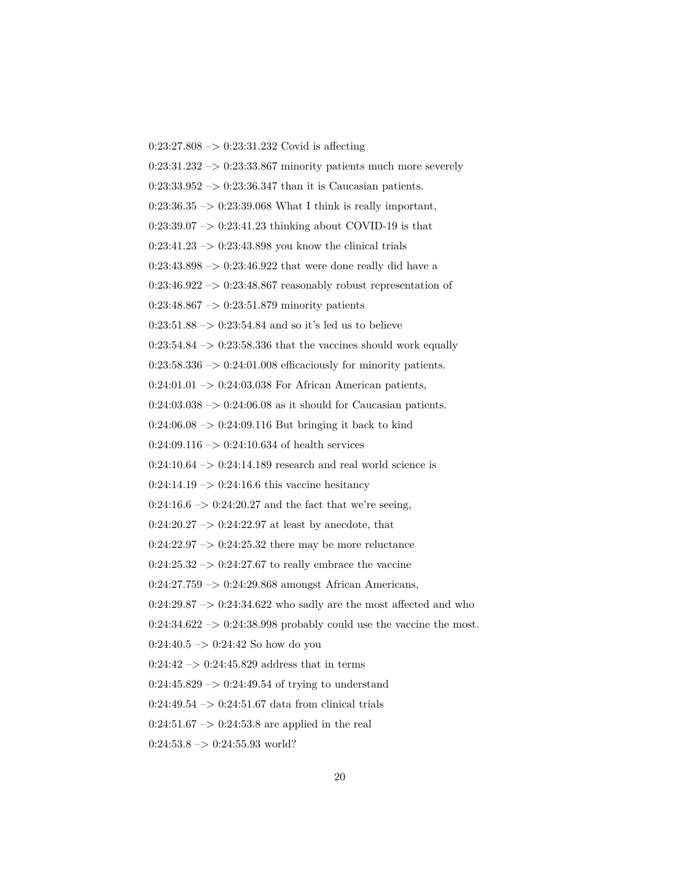$0:23:27.808 \rightarrow 0:23:31.232$  Covid is affecting  $0:23:31.232 \rightarrow 0:23:33.867$  minority patients much more severely  $0:23:33.952 \rightarrow 0:23:36.347$  than it is Caucasian patients.  $0:23:36.35 \rightarrow 0:23:39.068$  What I think is really important,  $0:23:39.07 \rightarrow 0:23:41.23$  thinking about COVID-19 is that  $0:23:41.23 \rightarrow 0:23:43.898$  you know the clinical trials  $0:23:43.898 \rightarrow 0:23:46.922$  that were done really did have a  $0:23:46.922 \rightarrow 0:23:48.867$  reasonably robust representation of  $0:23:48.867 \rightarrow 0:23:51.879$  minority patients  $0:23:51.88 \rightarrow 0:23:54.84$  and so it's led us to believe  $0:23:54.84 \rightarrow 0:23:58.336$  that the vaccines should work equally  $0:23:58.336 \rightarrow 0:24:01.008$  efficaciously for minority patients.  $0:24:01.01 \rightarrow 0:24:03.038$  For African American patients,  $0:24:03.038 \rightarrow 0:24:06.08$  as it should for Caucasian patients.  $0:24:06.08 \rightarrow 0:24:09.116$  But bringing it back to kind  $0:24:09.116 \rightarrow 0:24:10.634$  of health services  $0:24:10.64 \rightarrow 0:24:14.189$  research and real world science is  $0:24:14.19 \rightarrow 0:24:16.6$  this vaccine hesitancy  $0:24:16.6 \rightarrow 0:24:20.27$  and the fact that we're seeing,  $0:24:20.27 \rightarrow 0:24:22.97$  at least by anecdote, that  $0:24:22.97 \rightarrow 0:24:25.32$  there may be more reluctance  $0:24:25.32 \rightarrow 0:24:27.67$  to really embrace the vaccine 0:24:27.759 –> 0:24:29.868 amongst African Americans,  $0:24:29.87 \rightarrow 0:24:34.622$  who sadly are the most affected and who  $0:24:34.622 \rightarrow 0:24:38.998$  probably could use the vaccine the most.  $0:24:40.5 \rightarrow 0:24:42$  So how do you  $0:24:42 \rightarrow 0:24:45.829$  address that in terms  $0:24:45.829 \rightarrow 0:24:49.54$  of trying to understand  $0:24:49.54 \rightarrow 0:24:51.67$  data from clinical trials  $0:24:51.67 \rightarrow 0:24:53.8$  are applied in the real

 $0:24:53.8 \rightarrow 0:24:55.93$  world?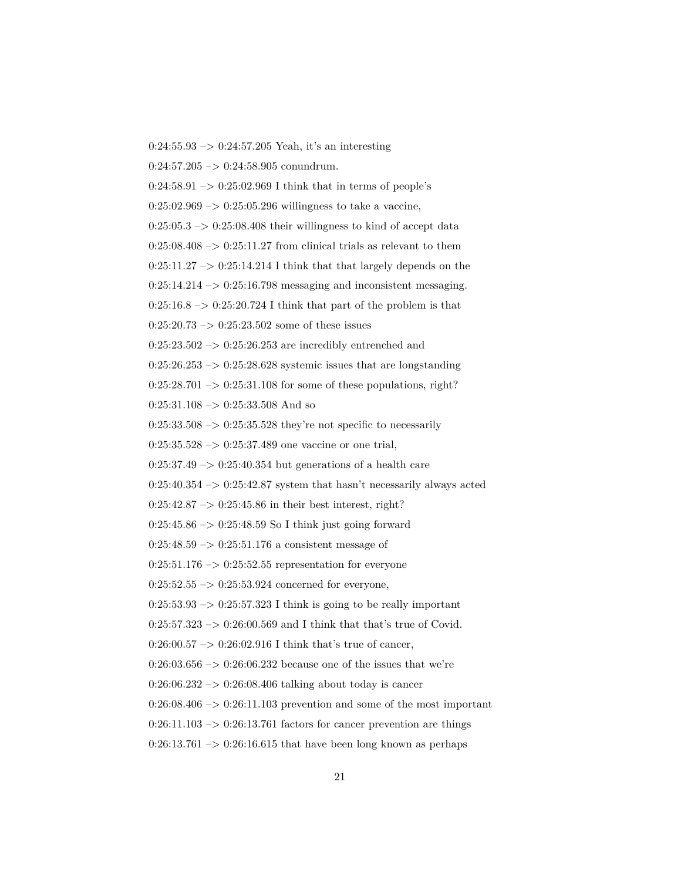$0:24:55.93 \rightarrow 0:24:57.205$  Yeah, it's an interesting  $0:24:57.205 \rightarrow 0:24:58.905$  conundrum.  $0:24:58.91 \rightarrow 0:25:02.969$  I think that in terms of people's  $0:25:02.969 \rightarrow 0:25:05.296$  willingness to take a vaccine,  $0:25:05.3 \rightarrow 0:25:08.408$  their willingness to kind of accept data  $0:25:08.408 \rightarrow 0:25:11.27$  from clinical trials as relevant to them  $0:25:11.27 \rightarrow 0:25:14.214$  I think that that largely depends on the  $0:25:14.214 \rightarrow 0:25:16.798$  messaging and inconsistent messaging.  $0:25:16.8 \rightarrow 0:25:20.724$  I think that part of the problem is that  $0:25:20.73 \rightarrow 0:25:23.502$  some of these issues  $0:25:23.502 \rightarrow 0:25:26.253$  are incredibly entrenched and  $0:25:26.253 \rightarrow 0:25:28.628$  systemic issues that are longstanding  $0:25:28.701 \rightarrow 0:25:31.108$  for some of these populations, right?  $0:25:31.108 \rightarrow 0:25:33.508$  And so  $0:25:33.508 \rightarrow 0:25:35.528$  they're not specific to necessarily  $0:25:35.528 \rightarrow 0:25:37.489$  one vaccine or one trial,  $0:25:37.49 \rightarrow 0:25:40.354$  but generations of a health care  $0:25:40.354 \rightarrow 0:25:42.87$  system that hasn't necessarily always acted  $0:25:42.87 \rightarrow 0:25:45.86$  in their best interest, right?  $0:25:45.86 \rightarrow 0:25:48.59$  So I think just going forward  $0:25:48.59 \rightarrow 0:25:51.176$  a consistent message of  $0:25:51.176 \rightarrow 0:25:52.55$  representation for everyone  $0:25:52.55 \rightarrow 0:25:53.924$  concerned for everyone,  $0:25:53.93 \rightarrow 0:25:57.323$  I think is going to be really important  $0:25:57.323 \rightarrow 0:26:00.569$  and I think that that's true of Covid.  $0:26:00.57 \rightarrow 0:26:02.916$  I think that's true of cancer,  $0:26:03.656 \rightarrow 0:26:06.232$  because one of the issues that we're  $0:26:06.232 \rightarrow 0:26:08.406$  talking about today is cancer  $0:26:08.406 \rightarrow 0:26:11.103$  prevention and some of the most important  $0:26:11.103 \rightarrow 0:26:13.761$  factors for cancer prevention are things  $0:26:13.761 \rightarrow 0:26:16.615$  that have been long known as perhaps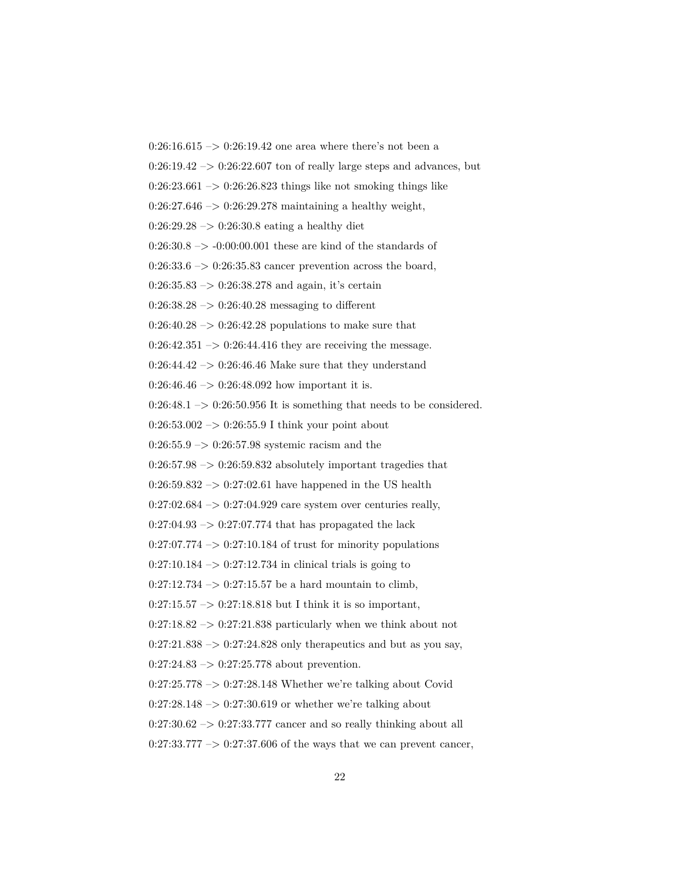$0:26:16.615 \rightarrow 0:26:19.42$  one area where there's not been a  $0:26:19.42 \rightarrow 0:26:22.607$  ton of really large steps and advances, but  $0:26:23.661 \rightarrow 0:26:26.823$  things like not smoking things like  $0:26:27.646 \rightarrow 0:26:29.278$  maintaining a healthy weight,  $0:26:29.28 \rightarrow 0:26:30.8$  eating a healthy diet  $0:26:30.8 \rightarrow -0:00:00.001$  these are kind of the standards of  $0:26:33.6 \rightarrow 0:26:35.83$  cancer prevention across the board,  $0:26:35.83 \rightarrow 0:26:38.278$  and again, it's certain  $0:26:38.28 \rightarrow 0:26:40.28$  messaging to different  $0:26:40.28 \rightarrow 0:26:42.28$  populations to make sure that  $0:26:42.351 \rightarrow 0:26:44.416$  they are receiving the message. 0:26:44.42  $\rightarrow$  0:26:46.46 Make sure that they understand  $0:26:46.46 \rightarrow 0:26:48.092$  how important it is.  $0:26:48.1 \rightarrow 0:26:50.956$  It is something that needs to be considered.  $0:26:53.002 \rightarrow 0:26:55.9$  I think your point about  $0:26:55.9 \rightarrow 0:26:57.98$  systemic racism and the  $0:26:57.98 \rightarrow 0:26:59.832$  absolutely important tragedies that  $0:26:59.832 \rightarrow 0:27:02.61$  have happened in the US health  $0:27:02.684 \rightarrow 0:27:04.929$  care system over centuries really,  $0:27:04.93 \rightarrow 0:27:07.774$  that has propagated the lack  $0:27:07.774 \rightarrow 0:27:10.184$  of trust for minority populations  $0:27:10.184 \rightarrow 0:27:12.734$  in clinical trials is going to  $0:27:12.734 \rightarrow 0:27:15.57$  be a hard mountain to climb,  $0:27:15.57 \rightarrow 0:27:18.818$  but I think it is so important,  $0:27:18.82 \rightarrow 0:27:21.838$  particularly when we think about not  $0:27:21.838 \rightarrow 0:27:24.828$  only therapeutics and but as you say,  $0:27:24.83 \rightarrow 0:27:25.778$  about prevention.  $0:27:25.778 \rightarrow 0:27:28.148$  Whether we're talking about Covid  $0:27:28.148 \rightarrow 0:27:30.619$  or whether we're talking about  $0:27:30.62 \rightarrow 0:27:33.777$  cancer and so really thinking about all  $0:27:33.777 \rightarrow 0:27:37.606$  of the ways that we can prevent cancer,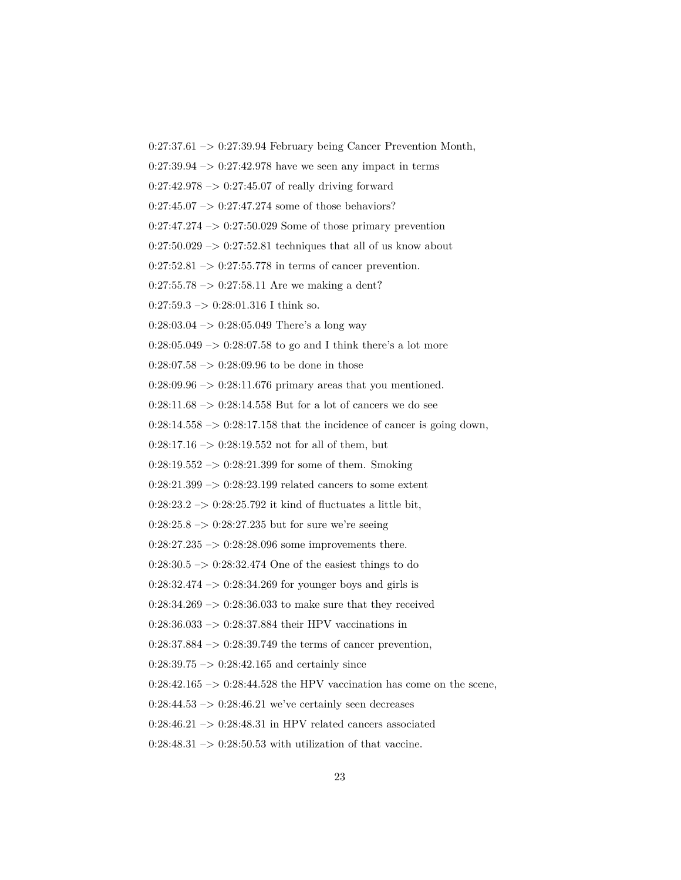$0:27:37.61 \rightarrow 0:27:39.94$  February being Cancer Prevention Month,

 $0:27:39.94 \rightarrow 0:27:42.978$  have we seen any impact in terms

 $0:27:42.978 \rightarrow 0:27:45.07$  of really driving forward

 $0:27:45.07 \rightarrow 0:27:47.274$  some of those behaviors?

 $0:27:47.274 \rightarrow 0:27:50.029$  Some of those primary prevention

 $0:27:50.029 \rightarrow 0:27:52.81$  techniques that all of us know about

 $0:27:52.81 \rightarrow 0:27:55.778$  in terms of cancer prevention.

 $0:27:55.78 \rightarrow 0:27:58.11$  Are we making a dent?

 $0:27:59.3 \rightarrow 0:28:01.316$  I think so.

 $0:28:03.04 \rightarrow 0:28:05.049$  There's a long way

 $0:28:05.049 \rightarrow 0:28:07.58$  to go and I think there's a lot more

0:28:07.58  $->$  0:28:09.96 to be done in those

 $0:28:09.96 \rightarrow 0:28:11.676$  primary areas that you mentioned.

 $0:28:11.68 \rightarrow 0:28:14.558$  But for a lot of cancers we do see

 $0:28:14.558 \rightarrow 0:28:17.158$  that the incidence of cancer is going down,

 $0:28:17.16 \rightarrow 0:28:19.552$  not for all of them, but

 $0:28:19.552 \rightarrow 0:28:21.399$  for some of them. Smoking

 $0:28:21.399 \rightarrow 0:28:23.199$  related cancers to some extent

 $0:28:23.2 \rightarrow 0:28:25.792$  it kind of fluctuates a little bit,

 $0:28:25.8 \rightarrow 0:28:27.235$  but for sure we're seeing

 $0:28:27.235 \rightarrow 0:28:28.096$  some improvements there.

 $0:28:30.5 \rightarrow 0:28:32.474$  One of the easiest things to do

 $0:28:32.474 \rightarrow 0:28:34.269$  for younger boys and girls is

 $0:28:34.269 \rightarrow 0:28:36.033$  to make sure that they received

0:28:36.033 –> 0:28:37.884 their HPV vaccinations in

 $0:28:37.884 \rightarrow 0:28:39.749$  the terms of cancer prevention,

 $0:28:39.75 \rightarrow 0:28:42.165$  and certainly since

 $0:28:42.165 \rightarrow 0:28:44.528$  the HPV vaccination has come on the scene,

 $0:28:44.53 \rightarrow 0:28:46.21$  we've certainly seen decreases

 $0:28:46.21 \rightarrow 0:28:48.31$  in HPV related cancers associated

 $0:28:48.31 \rightarrow 0:28:50.53$  with utilization of that vaccine.